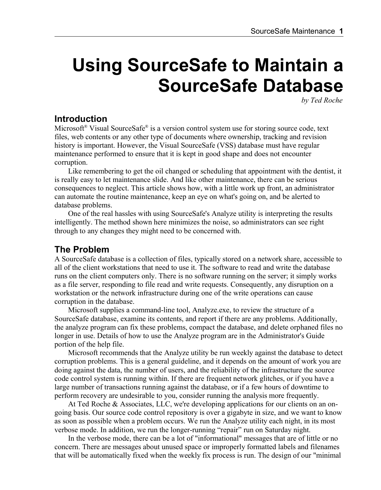# **Using SourceSafe to Maintain a SourceSafe Database**

*by Ted Roche*

# **Introduction**

Microsoft<sup>®</sup> Visual SourceSafe<sup>®</sup> is a version control system use for storing source code, text files, web contents or any other type of documents where ownership, tracking and revision history is important. However, the Visual SourceSafe (VSS) database must have regular maintenance performed to ensure that it is kept in good shape and does not encounter corruption.

Like remembering to get the oil changed or scheduling that appointment with the dentist, it is really easy to let maintenance slide. And like other maintenance, there can be serious consequences to neglect. This article shows how, with a little work up front, an administrator can automate the routine maintenance, keep an eye on what's going on, and be alerted to database problems.

One of the real hassles with using SourceSafe's Analyze utility is interpreting the results intelligently. The method shown here minimizes the noise, so administrators can see right through to any changes they might need to be concerned with.

# **The Problem**

A SourceSafe database is a collection of files, typically stored on a network share, accessible to all of the client workstations that need to use it. The software to read and write the database runs on the client computers only. There is no software running on the server; it simply works as a file server, responding to file read and write requests. Consequently, any disruption on a workstation or the network infrastructure during one of the write operations can cause corruption in the database.

Microsoft supplies a command-line tool, Analyze.exe, to review the structure of a SourceSafe database, examine its contents, and report if there are any problems. Additionally, the analyze program can fix these problems, compact the database, and delete orphaned files no longer in use. Details of how to use the Analyze program are in the Administrator's Guide portion of the help file.

Microsoft recommends that the Analyze utility be run weekly against the database to detect corruption problems. This is a general guideline, and it depends on the amount of work you are doing against the data, the number of users, and the reliability of the infrastructure the source code control system is running within. If there are frequent network glitches, or if you have a large number of transactions running against the database, or if a few hours of downtime to perform recovery are undesirable to you, consider running the analysis more frequently.

At Ted Roche & Associates, LLC, we're developing applications for our clients on an ongoing basis. Our source code control repository is over a gigabyte in size, and we want to know as soon as possible when a problem occurs. We run the Analyze utility each night, in its most verbose mode. In addition, we run the longer-running "repair" run on Saturday night.

In the verbose mode, there can be a lot of "informational" messages that are of little or no concern. There are messages about unused space or improperly formatted labels and filenames that will be automatically fixed when the weekly fix process is run. The design of our "minimal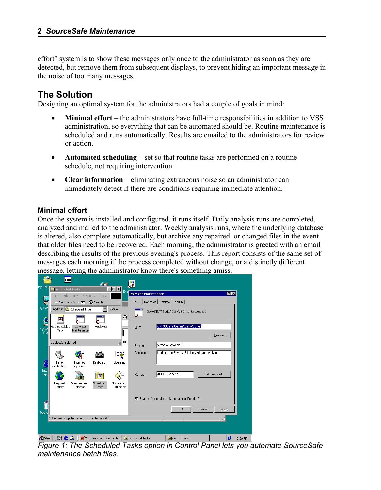effort" system is to show these messages only once to the administrator as soon as they are detected, but remove them from subsequent displays, to prevent hiding an important message in the noise of too many messages.

# **The Solution**

Designing an optimal system for the administrators had a couple of goals in mind:

- **Minimal effort**  the administrators have full-time responsibilities in addition to VSS administration, so everything that can be automated should be. Routine maintenance is scheduled and runs automatically. Results are emailed to the administrators for review or action.
- **Automated scheduling** set so that routine tasks are performed on a routine schedule, not requiring intervention
- **Clear information**  eliminating extraneous noise so an administrator can immediately detect if there are conditions requiring immediate attention.

#### **Minimal effort**

Once the system is installed and configured, it runs itself. Daily analysis runs are completed, analyzed and mailed to the administrator. Weekly analysis runs, where the underlying database is altered, also complete automatically, but archive any repaired or changed files in the event that older files need to be recovered. Each morning, the administrator is greeted with an email describing the results of the previous evening's process. This report consists of the same set of messages each morning if the process completed without change, or a distinctly different message, letting the administrator know there's something amiss.

|                                                                                                                   | Ħ                                               |                           | <b>AT A</b>              |                         |                                          |                              |                                                 |        |              |         |
|-------------------------------------------------------------------------------------------------------------------|-------------------------------------------------|---------------------------|--------------------------|-------------------------|------------------------------------------|------------------------------|-------------------------------------------------|--------|--------------|---------|
| My Docu                                                                                                           | <b>D</b> Scheduled Tasks                        |                           |                          | $ \Box$ $\times$ $\Box$ |                                          |                              |                                                 |        |              |         |
|                                                                                                                   | Eile<br>Edit                                    | Favorites<br>View.        | Tools >>                 |                         | Evel                                     | <b>Daily VSS Maintenance</b> |                                                 |        |              | 7x      |
|                                                                                                                   |                                                 | ← Back ▼ ⇒ ▼ 它   ©Search  |                          | $\gg$                   | Task                                     |                              | Schedule   Settings   Security                  |        |              |         |
| My Cor                                                                                                            |                                                 | Address 3 Scheduled Tasks | $\overline{\phantom{a}}$ | $\phi$ Go               | ۵                                        |                              | D:\WINNT\Tasks\Daily VSS Maintenance.job        |        |              |         |
|                                                                                                                   | $\overline{\bullet}$                            | $\overline{\phantom{a}}$  |                          |                         | ۱                                        |                              |                                                 |        |              |         |
|                                                                                                                   | Add Scheduled                                   | Daily VSS                 | <b>WeeklySS</b>          |                         | <b>Run:</b>                              |                              | d:\VSSData\Current\DailyVSS.bat                 |        |              |         |
| $\begin{array}{c}\n\mathbf{r} \\ \mathbf{m} \\ \mathbf{v} \\ \mathbf{v} \\ \mathbf{v} \\ \mathbf{v}\n\end{array}$ | Task                                            | Maintenance               |                          |                         |                                          |                              |                                                 |        |              |         |
|                                                                                                                   |                                                 |                           |                          |                         |                                          |                              |                                                 |        | Browse       |         |
|                                                                                                                   | 1 object(s) selected                            |                           |                          |                         | me<br>Start in:                          |                              | d:\vssdata\current                              |        |              |         |
|                                                                                                                   |                                                 |                           | ش                        |                         |                                          |                              |                                                 |        |              |         |
|                                                                                                                   |                                                 |                           | ####                     | ≝é                      | Comments:                                |                              | Updates the Physical File List and runs Analyze |        |              |         |
|                                                                                                                   | Game                                            | Internet                  | Keyboard                 | Licensing               |                                          |                              |                                                 |        |              |         |
| Inter                                                                                                             | Controllers                                     | Options                   |                          |                         |                                          |                              |                                                 |        |              |         |
| Expl                                                                                                              |                                                 |                           | ত                        |                         | Run as:                                  |                              | APOLLO\troche                                   |        | Set password |         |
|                                                                                                                   | Regional                                        | Scanners and              | Scheduled                | Sounds and              |                                          |                              |                                                 |        |              |         |
|                                                                                                                   | Options                                         | Cameras                   | Tasks                    | Multimedia              |                                          |                              |                                                 |        |              |         |
|                                                                                                                   | Enabled (scheduled task runs at specified time) |                           |                          |                         |                                          |                              |                                                 |        |              |         |
|                                                                                                                   |                                                 |                           |                          |                         |                                          |                              |                                                 |        |              |         |
|                                                                                                                   |                                                 |                           |                          |                         |                                          |                              | <b>nk</b>                                       | Cancel | Apply        |         |
| Recyc                                                                                                             |                                                 |                           |                          |                         |                                          |                              |                                                 |        |              |         |
|                                                                                                                   | Schedules computer tasks to run automatically   |                           |                          |                         |                                          |                              |                                                 |        |              |         |
|                                                                                                                   |                                                 |                           |                          |                         |                                          |                              |                                                 |        |              |         |
|                                                                                                                   |                                                 |                           |                          |                         |                                          |                              |                                                 |        |              |         |
| <b>B</b> Start                                                                                                    | 固合物                                             |                           |                          |                         | West Wind Web Connecti 0 Scheduled Tasks |                              | Control Panel                                   |        | ø            | 3:56 PM |

*Figure 1: The Scheduled Tasks option in Control Panel lets you automate SourceSafe maintenance batch files.*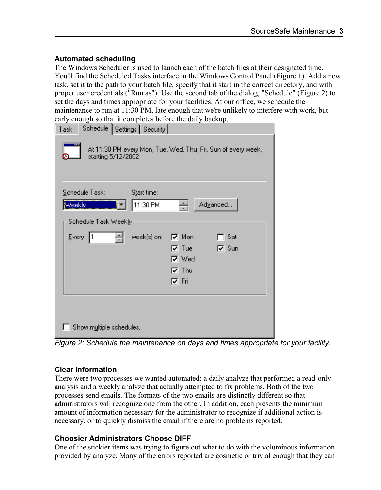#### **Automated scheduling**

The Windows Scheduler is used to launch each of the batch files at their designated time. You'll find the Scheduled Tasks interface in the Windows Control Panel (Figure 1). Add a new task, set it to the path to your batch file, specify that it start in the correct directory, and with proper user credentials ("Run as"). Use the second tab of the dialog, "Schedule" (Figure 2) to set the days and times appropriate for your facilities. At our office, we schedule the maintenance to run at 11:30 PM, late enough that we're unlikely to interfere with work, but early enough so that it completes before the daily backup.

| chough so that it compretes serore the darry suchap.<br>Schedule   Settings   Security  <br>Task                          |
|---------------------------------------------------------------------------------------------------------------------------|
| At 11:30 PM every Mon, Tue, Wed, Thu, Fri, Sun of every week,<br>starting 5/12/2002                                       |
| Schedule Task:<br>Start time:<br>Advanced<br>11:30 PM<br>Weekly<br>÷                                                      |
| Schedule Task Weekly                                                                                                      |
| $E$ very<br>week(s) on:<br>$\nabla$ Mon<br>$\Box$ Sat<br>$\nabla$ Tue<br>$\nabla$ Sun<br>l⊽ Wed<br>$\nabla$ Thu<br>l⊽ Fri |
| Show multiple schedules.                                                                                                  |

*Figure 2: Schedule the maintenance on days and times appropriate for your facility.*

#### **Clear information**

There were two processes we wanted automated: a daily analyze that performed a read-only analysis and a weekly analyze that actually attempted to fix problems. Both of the two processes send emails. The formats of the two emails are distinctly different so that administrators will recognize one from the other. In addition, each presents the minimum amount of information necessary for the administrator to recognize if additional action is necessary, or to quickly dismiss the email if there are no problems reported.

#### **Choosier Administrators Choose DIFF**

One of the stickier items was trying to figure out what to do with the voluminous information provided by analyze. Many of the errors reported are cosmetic or trivial enough that they can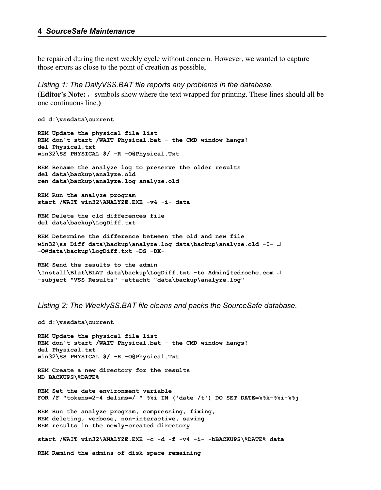be repaired during the next weekly cycle without concern. However, we wanted to capture those errors as close to the point of creation as possible,

#### *Listing 1: The DailyVSS.BAT file reports any problems in the database.*

**(Editor's Note:**  $\cup$  symbols show where the text wrapped for printing. These lines should all be one continuous line.**)**

```
cd d:\vssdata\current
REM Update the physical file list
REM don't start /WAIT Physical.bat - the CMD window hangs!
del Physical.txt
win32\SS PHYSICAL $/ -R -O@Physical.Txt
REM Rename the analyze log to preserve the older results
del data\backup\analyze.old
ren data\backup\analyze.log analyze.old
REM Run the analyze program
start /WAIT win32\ANALYZE.EXE -v4 -i- data
REM Delete the old differences file
del data\backup\LogDiff.txt
REM Determine the difference between the old and new file
win32\ss Diff data\backup\analyze.log data\backup\analyze.old -I- 
-O@data\backup\LogDiff.txt -DS -DX-
REM Send the results to the admin
\Install\Blat\BLAT data\backup\LogDiff.txt -to Admin@tedroche.com
```
*Listing 2: The WeeklySS.BAT file cleans and packs the SourceSafe database.*

**-subject "VSS Results" -attacht "data\backup\analyze.log"**

```
cd d:\vssdata\current
REM Update the physical file list
REM don't start /WAIT Physical.bat - the CMD window hangs!
del Physical.txt
win32\SS PHYSICAL $/ -R -O@Physical.Txt
REM Create a new directory for the results
MD BACKUPS\%DATE%
REM Set the date environment variable
FOR /F "tokens=2-4 delims=/ " %%i IN ('date /t') DO SET DATE=%%k-%%i-%%j
REM Run the analyze program, compressing, fixing,
REM deleting, verbose, non-interactive, saving
REM results in the newly-created directory
start /WAIT win32\ANALYZE.EXE -c -d -f -v4 -i- -bBACKUPS\%DATE% data
REM Remind the admins of disk space remaining
```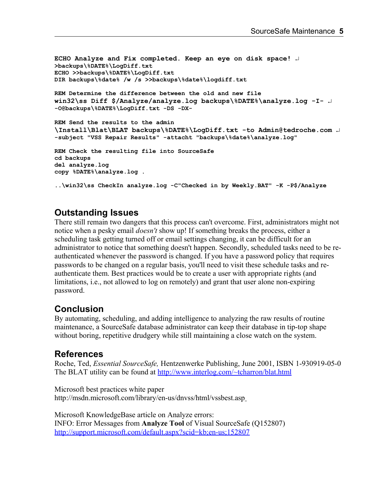```
ECHO Analyze and Fix completed. Keep an eye on disk space! 
>backups\%DATE%\LogDiff.txt
ECHO >>backups\%DATE%\LogDiff.txt
DIR backups\%date% /w /s >>backups\%date%\logdiff.txt
REM Determine the difference between the old and new file
win32\ss Diff $/Analyze/analyze.log backups\%DATE%\analyze.log -I- 
-O@backups\%DATE%\LogDiff.txt -DS -DX-
REM Send the results to the admin
\Install\Blat\BLAT backups\%DATE%\LogDiff.txt -to Admin@tedroche.com 
-subject "VSS Repair Results" -attacht "backups\%date%\analyze.log"
REM Check the resulting file into SourceSafe
cd backups
del analyze.log
copy %DATE%\analyze.log .
..\win32\ss CheckIn analyze.log -C"Checked in by Weekly.BAT" -K -P$/Analyze
```
## **Outstanding Issues**

There still remain two dangers that this process can't overcome. First, administrators might not notice when a pesky email *doesn't* show up! If something breaks the process, either a scheduling task getting turned off or email settings changing, it can be difficult for an administrator to notice that something doesn't happen. Secondly, scheduled tasks need to be reauthenticated whenever the password is changed. If you have a password policy that requires passwords to be changed on a regular basis, you'll need to visit these schedule tasks and reauthenticate them. Best practices would be to create a user with appropriate rights (and limitations, i.e., not allowed to log on remotely) and grant that user alone non-expiring password.

## **Conclusion**

By automating, scheduling, and adding intelligence to analyzing the raw results of routine maintenance, a SourceSafe database administrator can keep their database in tip-top shape without boring, repetitive drudgery while still maintaining a close watch on the system.

#### **References**

Roche, Ted, *Essential SourceSafe,* Hentzenwerke Publishing, June 2001, ISBN 1-930919-05-0 The BLAT utility can be found at http://www.interlog.com/~tcharron/blat.html

Microsoft best practices white paper http://msdn.microsoft.com/library/en-us/dnvss/html/vssbest.asp

Microsoft KnowledgeBase article on Analyze errors: INFO: Error Messages from **Analyze Tool** of Visual SourceSafe (Q152807) http://support.microsoft.com/default.aspx?scid=kb;en-us;152807